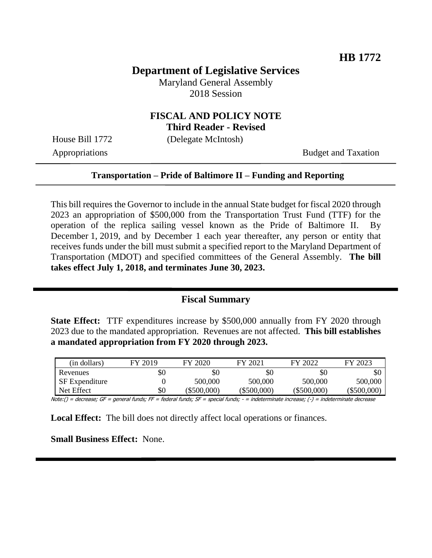## **Department of Legislative Services**

Maryland General Assembly 2018 Session

# **FISCAL AND POLICY NOTE**

**Third Reader - Revised**

House Bill 1772 (Delegate McIntosh)

Appropriations Budget and Taxation

#### **Transportation – Pride of Baltimore II – Funding and Reporting**

This bill requires the Governor to include in the annual State budget for fiscal 2020 through 2023 an appropriation of \$500,000 from the Transportation Trust Fund (TTF) for the operation of the replica sailing vessel known as the Pride of Baltimore II. By December 1, 2019, and by December 1 each year thereafter, any person or entity that receives funds under the bill must submit a specified report to the Maryland Department of Transportation (MDOT) and specified committees of the General Assembly. **The bill takes effect July 1, 2018, and terminates June 30, 2023.** 

### **Fiscal Summary**

**State Effect:** TTF expenditures increase by \$500,000 annually from FY 2020 through 2023 due to the mandated appropriation. Revenues are not affected. **This bill establishes a mandated appropriation from FY 2020 through 2023.**

| (in dollars)          | FY 2019 | FY 2020     | FY 2021     | FY 2022     | FY 2023     |
|-----------------------|---------|-------------|-------------|-------------|-------------|
| Revenues              | \$0     | \$0         | \$0         | \$0         | \$0         |
| <b>SF</b> Expenditure |         | 500,000     | 500,000     | 500,000     | 500,000     |
| Net Effect            | \$0     | (\$500,000) | (\$500,000) | (\$500,000) | (\$500,000) |

Note:() = decrease; GF = general funds; FF = federal funds; SF = special funds; - = indeterminate increase; (-) = indeterminate decrease

**Local Effect:** The bill does not directly affect local operations or finances.

**Small Business Effect:** None.